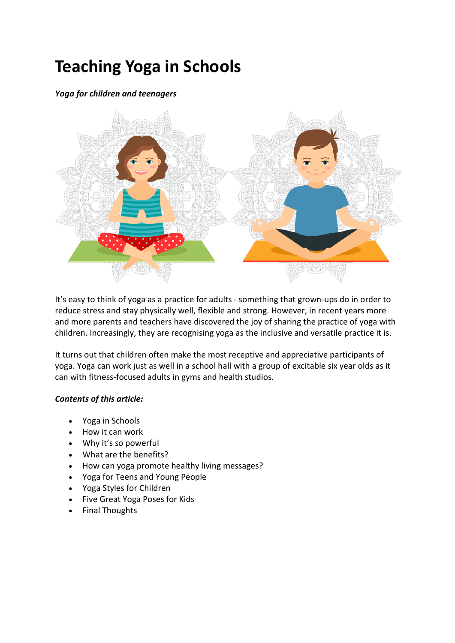# **Teaching Yoga in Schools**

# *Yoga for children and teenagers*



It's easy to think of yoga as a practice for adults - something that grown-ups do in order to reduce stress and stay physically well, flexible and strong. However, in recent years more and more parents and teachers have discovered the joy of sharing the practice of yoga with children. Increasingly, they are recognising yoga as the inclusive and versatile practice it is.

It turns out that children often make the most receptive and appreciative participants of yoga. Yoga can work just as well in a school hall with a group of excitable six year olds as it can with fitness-focused adults in gyms and health studios.

## *Contents of this article:*

- Yoga in Schools
- How it can work
- Why it's so powerful
- What are the benefits?
- How can yoga promote healthy living messages?
- Yoga for Teens and Young People
- Yoga Styles for Children
- Five Great Yoga Poses for Kids
- Final Thoughts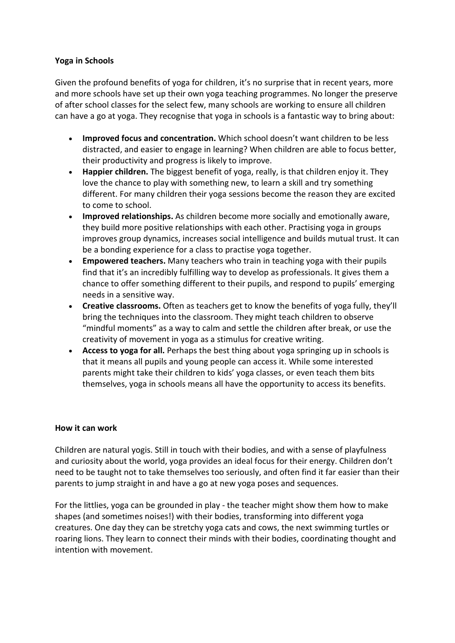# **Yoga in Schools**

Given the profound benefits of yoga for children, it's no surprise that in recent years, more and more schools have set up their own yoga teaching programmes. No longer the preserve of after school classes for the select few, many schools are working to ensure all children can have a go at yoga. They recognise that yoga in schools is a fantastic way to bring about:

- **Improved focus and concentration.** Which school doesn't want children to be less distracted, and easier to engage in learning? When children are able to focus better, their productivity and progress is likely to improve.
- **Happier children.** The biggest benefit of yoga, really, is that children enjoy it. They love the chance to play with something new, to learn a skill and try something different. For many children their yoga sessions become the reason they are excited to come to school.
- **Improved relationships.** As children become more socially and emotionally aware, they build more positive relationships with each other. Practising yoga in groups improves group dynamics, increases social intelligence and builds mutual trust. It can be a bonding experience for a class to practise yoga together.
- **Empowered teachers.** Many teachers who train in teaching yoga with their pupils find that it's an incredibly fulfilling way to develop as professionals. It gives them a chance to offer something different to their pupils, and respond to pupils' emerging needs in a sensitive way.
- **Creative classrooms.** Often as teachers get to know the benefits of yoga fully, they'll bring the techniques into the classroom. They might teach children to observe "mindful moments" as a way to calm and settle the children after break, or use the creativity of movement in yoga as a stimulus for creative writing.
- **Access to yoga for all.** Perhaps the best thing about yoga springing up in schools is that it means all pupils and young people can access it. While some interested parents might take their children to kids' yoga classes, or even teach them bits themselves, yoga in schools means all have the opportunity to access its benefits.

## **How it can work**

Children are natural yogis. Still in touch with their bodies, and with a sense of playfulness and curiosity about the world, yoga provides an ideal focus for their energy. Children don't need to be taught not to take themselves too seriously, and often find it far easier than their parents to jump straight in and have a go at new yoga poses and sequences.

For the littlies, yoga can be grounded in play - the teacher might show them how to make shapes (and sometimes noises!) with their bodies, transforming into different yoga creatures. One day they can be stretchy yoga cats and cows, the next swimming turtles or roaring lions. They learn to connect their minds with their bodies, coordinating thought and intention with movement.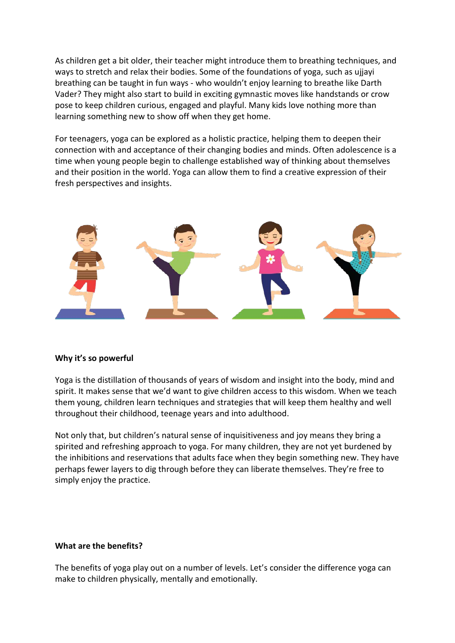As children get a bit older, their teacher might introduce them to breathing techniques, and ways to stretch and relax their bodies. Some of the foundations of yoga, such as ujjayi breathing can be taught in fun ways - who wouldn't enjoy learning to breathe like Darth Vader? They might also start to build in exciting gymnastic moves like handstands or crow pose to keep children curious, engaged and playful. Many kids love nothing more than learning something new to show off when they get home.

For teenagers, yoga can be explored as a holistic practice, helping them to deepen their connection with and acceptance of their changing bodies and minds. Often adolescence is a time when young people begin to challenge established way of thinking about themselves and their position in the world. Yoga can allow them to find a creative expression of their fresh perspectives and insights.



## **Why it's so powerful**

Yoga is the distillation of thousands of years of wisdom and insight into the body, mind and spirit. It makes sense that we'd want to give children access to this wisdom. When we teach them young, children learn techniques and strategies that will keep them healthy and well throughout their childhood, teenage years and into adulthood.

Not only that, but children's natural sense of inquisitiveness and joy means they bring a spirited and refreshing approach to yoga. For many children, they are not yet burdened by the inhibitions and reservations that adults face when they begin something new. They have perhaps fewer layers to dig through before they can liberate themselves. They're free to simply enjoy the practice.

## **What are the benefits?**

The benefits of yoga play out on a number of levels. Let's consider the difference yoga can make to children physically, mentally and emotionally.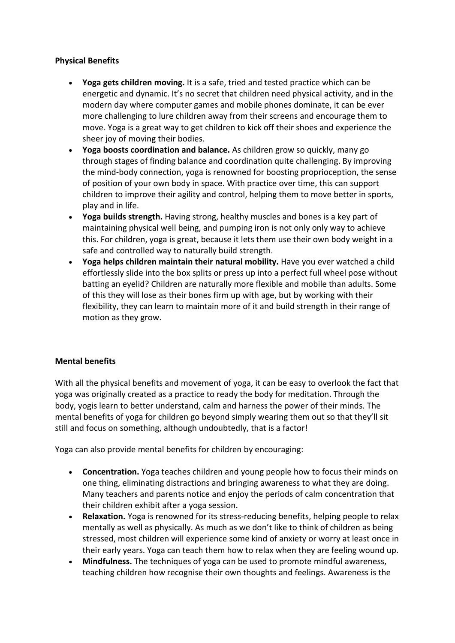# **Physical Benefits**

- **Yoga gets children moving.** It is a safe, tried and tested practice which can be energetic and dynamic. It's no secret that children need physical activity, and in the modern day where computer games and mobile phones dominate, it can be ever more challenging to lure children away from their screens and encourage them to move. Yoga is a great way to get children to kick off their shoes and experience the sheer joy of moving their bodies.
- **Yoga boosts coordination and balance.** As children grow so quickly, many go through stages of finding balance and coordination quite challenging. By improving the mind-body connection, yoga is renowned for boosting proprioception, the sense of position of your own body in space. With practice over time, this can support children to improve their agility and control, helping them to move better in sports, play and in life.
- **Yoga builds strength.** Having strong, healthy muscles and bones is a key part of maintaining physical well being, and pumping iron is not only only way to achieve this. For children, yoga is great, because it lets them use their own body weight in a safe and controlled way to naturally build strength.
- **Yoga helps children maintain their natural mobility.** Have you ever watched a child effortlessly slide into the box splits or press up into a perfect full wheel pose without batting an eyelid? Children are naturally more flexible and mobile than adults. Some of this they will lose as their bones firm up with age, but by working with their flexibility, they can learn to maintain more of it and build strength in their range of motion as they grow.

# **Mental benefits**

With all the physical benefits and movement of yoga, it can be easy to overlook the fact that yoga was originally created as a practice to ready the body for meditation. Through the body, yogis learn to better understand, calm and harness the power of their minds. The mental benefits of yoga for children go beyond simply wearing them out so that they'll sit still and focus on something, although undoubtedly, that is a factor!

Yoga can also provide mental benefits for children by encouraging:

- **Concentration.** Yoga teaches children and young people how to focus their minds on one thing, eliminating distractions and bringing awareness to what they are doing. Many teachers and parents notice and enjoy the periods of calm concentration that their children exhibit after a yoga session.
- **Relaxation.** Yoga is renowned for its stress-reducing benefits, helping people to relax mentally as well as physically. As much as we don't like to think of children as being stressed, most children will experience some kind of anxiety or worry at least once in their early years. Yoga can teach them how to relax when they are feeling wound up.
- **Mindfulness.** The techniques of yoga can be used to promote mindful awareness, teaching children how recognise their own thoughts and feelings. Awareness is the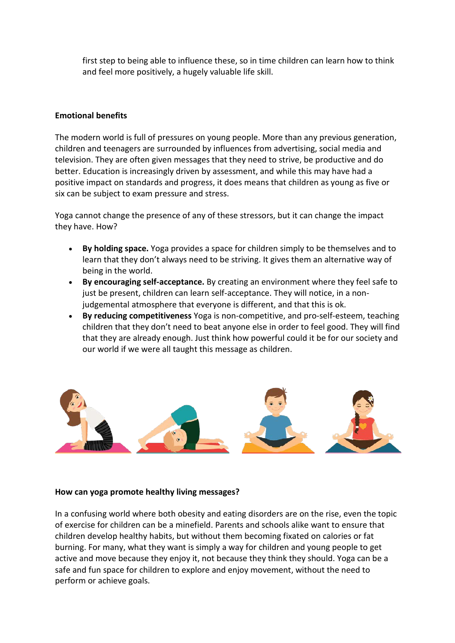first step to being able to influence these, so in time children can learn how to think and feel more positively, a hugely valuable life skill.

## **Emotional benefits**

The modern world is full of pressures on young people. More than any previous generation, children and teenagers are surrounded by influences from advertising, social media and television. They are often given messages that they need to strive, be productive and do better. Education is increasingly driven by assessment, and while this may have had a positive impact on standards and progress, it does means that children as young as five or six can be subject to exam pressure and stress.

Yoga cannot change the presence of any of these stressors, but it can change the impact they have. How?

- **By holding space.** Yoga provides a space for children simply to be themselves and to learn that they don't always need to be striving. It gives them an alternative way of being in the world.
- **By encouraging self-acceptance.** By creating an environment where they feel safe to just be present, children can learn self-acceptance. They will notice, in a nonjudgemental atmosphere that everyone is different, and that this is ok.
- **By reducing competitiveness** Yoga is non-competitive, and pro-self-esteem, teaching children that they don't need to beat anyone else in order to feel good. They will find that they are already enough. Just think how powerful could it be for our society and our world if we were all taught this message as children.



## **How can yoga promote healthy living messages?**

In a confusing world where both obesity and eating disorders are on the rise, even the topic of exercise for children can be a minefield. Parents and schools alike want to ensure that children develop healthy habits, but without them becoming fixated on calories or fat burning. For many, what they want is simply a way for children and young people to get active and move because they enjoy it, not because they think they should. Yoga can be a safe and fun space for children to explore and enjoy movement, without the need to perform or achieve goals.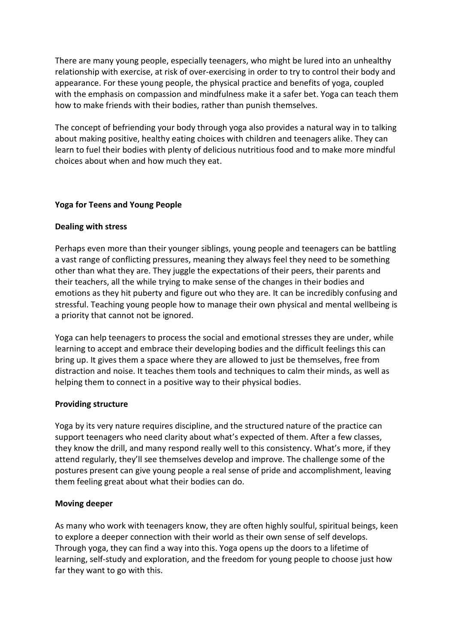There are many young people, especially teenagers, who might be lured into an unhealthy relationship with exercise, at risk of over-exercising in order to try to control their body and appearance. For these young people, the physical practice and benefits of yoga, coupled with the emphasis on compassion and mindfulness make it a safer bet. Yoga can teach them how to make friends with their bodies, rather than punish themselves.

The concept of befriending your body through yoga also provides a natural way in to talking about making positive, healthy eating choices with children and teenagers alike. They can learn to fuel their bodies with plenty of delicious nutritious food and to make more mindful choices about when and how much they eat.

## **Yoga for Teens and Young People**

## **Dealing with stress**

Perhaps even more than their younger siblings, young people and teenagers can be battling a vast range of conflicting pressures, meaning they always feel they need to be something other than what they are. They juggle the expectations of their peers, their parents and their teachers, all the while trying to make sense of the changes in their bodies and emotions as they hit puberty and figure out who they are. It can be incredibly confusing and stressful. Teaching young people how to manage their own physical and mental wellbeing is a priority that cannot not be ignored.

Yoga can help teenagers to process the social and emotional stresses they are under, while learning to accept and embrace their developing bodies and the difficult feelings this can bring up. It gives them a space where they are allowed to just be themselves, free from distraction and noise. It teaches them tools and techniques to calm their minds, as well as helping them to connect in a positive way to their physical bodies.

## **Providing structure**

Yoga by its very nature requires discipline, and the structured nature of the practice can support teenagers who need clarity about what's expected of them. After a few classes, they know the drill, and many respond really well to this consistency. What's more, if they attend regularly, they'll see themselves develop and improve. The challenge some of the postures present can give young people a real sense of pride and accomplishment, leaving them feeling great about what their bodies can do.

## **Moving deeper**

As many who work with teenagers know, they are often highly soulful, spiritual beings, keen to explore a deeper connection with their world as their own sense of self develops. Through yoga, they can find a way into this. Yoga opens up the doors to a lifetime of learning, self-study and exploration, and the freedom for young people to choose just how far they want to go with this.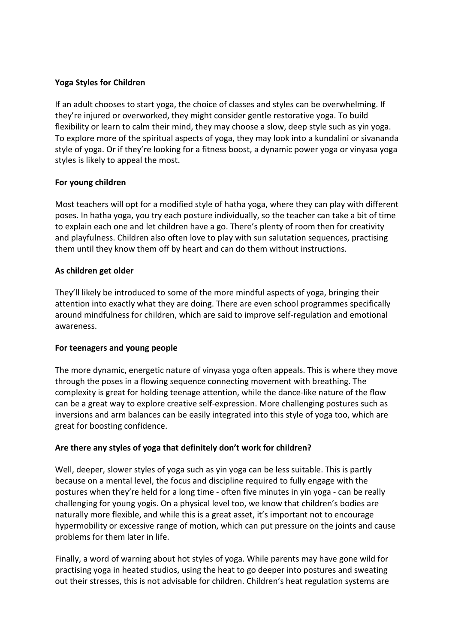# **Yoga Styles for Children**

If an adult chooses to start yoga, the choice of classes and styles can be overwhelming. If they're injured or overworked, they might consider gentle restorative yoga. To build flexibility or learn to calm their mind, they may choose a slow, deep style such as yin yoga. To explore more of the spiritual aspects of yoga, they may look into a kundalini or sivananda style of yoga. Or if they're looking for a fitness boost, a dynamic power yoga or vinyasa yoga styles is likely to appeal the most.

## **For young children**

Most teachers will opt for a modified style of hatha yoga, where they can play with different poses. In hatha yoga, you try each posture individually, so the teacher can take a bit of time to explain each one and let children have a go. There's plenty of room then for creativity and playfulness. Children also often love to play with sun salutation sequences, practising them until they know them off by heart and can do them without instructions.

## **As children get older**

They'll likely be introduced to some of the more mindful aspects of yoga, bringing their attention into exactly what they are doing. There are even school programmes specifically around mindfulness for children, which are said to improve self-regulation and emotional awareness.

## **For teenagers and young people**

The more dynamic, energetic nature of vinyasa yoga often appeals. This is where they move through the poses in a flowing sequence connecting movement with breathing. The complexity is great for holding teenage attention, while the dance-like nature of the flow can be a great way to explore creative self-expression. More challenging postures such as inversions and arm balances can be easily integrated into this style of yoga too, which are great for boosting confidence.

## **Are there any styles of yoga that definitely don't work for children?**

Well, deeper, slower styles of yoga such as yin yoga can be less suitable. This is partly because on a mental level, the focus and discipline required to fully engage with the postures when they're held for a long time - often five minutes in yin yoga - can be really challenging for young yogis. On a physical level too, we know that children's bodies are naturally more flexible, and while this is a great asset, it's important not to encourage hypermobility or excessive range of motion, which can put pressure on the joints and cause problems for them later in life.

Finally, a word of warning about hot styles of yoga. While parents may have gone wild for practising yoga in heated studios, using the heat to go deeper into postures and sweating out their stresses, this is not advisable for children. Children's heat regulation systems are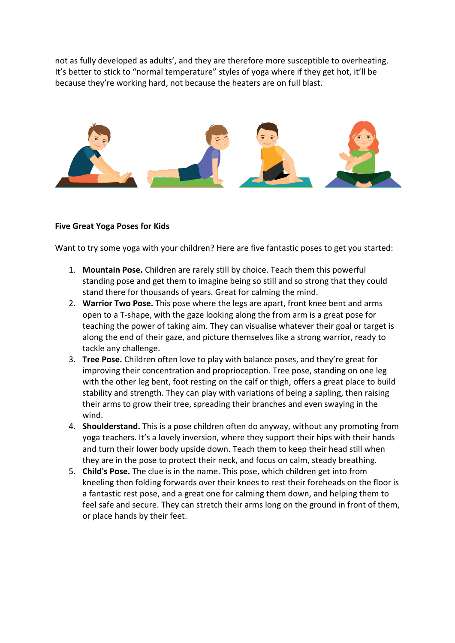not as fully developed as adults', and they are therefore more susceptible to overheating. It's better to stick to "normal temperature" styles of yoga where if they get hot, it'll be because they're working hard, not because the heaters are on full blast.



## **Five Great Yoga Poses for Kids**

Want to try some yoga with your children? Here are five fantastic poses to get you started:

- 1. **Mountain Pose.** Children are rarely still by choice. Teach them this powerful standing pose and get them to imagine being so still and so strong that they could stand there for thousands of years. Great for calming the mind.
- 2. **Warrior Two Pose.** This pose where the legs are apart, front knee bent and arms open to a T-shape, with the gaze looking along the from arm is a great pose for teaching the power of taking aim. They can visualise whatever their goal or target is along the end of their gaze, and picture themselves like a strong warrior, ready to tackle any challenge.
- 3. **Tree Pose.** Children often love to play with balance poses, and they're great for improving their concentration and proprioception. Tree pose, standing on one leg with the other leg bent, foot resting on the calf or thigh, offers a great place to build stability and strength. They can play with variations of being a sapling, then raising their arms to grow their tree, spreading their branches and even swaying in the wind.
- 4. **Shoulderstand.** This is a pose children often do anyway, without any promoting from yoga teachers. It's a lovely inversion, where they support their hips with their hands and turn their lower body upside down. Teach them to keep their head still when they are in the pose to protect their neck, and focus on calm, steady breathing.
- 5. **Child's Pose.** The clue is in the name. This pose, which children get into from kneeling then folding forwards over their knees to rest their foreheads on the floor is a fantastic rest pose, and a great one for calming them down, and helping them to feel safe and secure. They can stretch their arms long on the ground in front of them, or place hands by their feet.